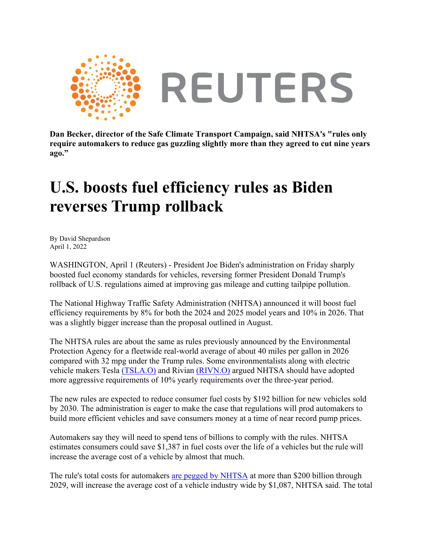

**Dan Becker, director of the Safe Climate Transport Campaign, said NHTSA's "rules only require automakers to reduce gas guzzling slightly more than they agreed to cut nine years ago."**

## **U.S. boosts fuel efficiency rules as Biden reverses Trump rollback**

By David Shepardson April 1, 2022

WASHINGTON, April 1 (Reuters) - President Joe Biden's administration on Friday sharply boosted fuel economy standards for vehicles, reversing former President Donald Trump's rollback of U.S. regulations aimed at improving gas mileage and cutting tailpipe pollution.

The National Highway Traffic Safety Administration (NHTSA) announced it will boost fuel efficiency requirements by 8% for both the 2024 and 2025 model years and 10% in 2026. That was a slightly bigger increase than the proposal outlined in August.

The NHTSA rules are about the same as rules previously announced by the Environmental Protection Agency for a fleetwide real-world average of about 40 miles per gallon in 2026 compared with 32 mpg under the Trump rules. Some environmentalists along with electric vehicle makers Tesla [\(TSLA.O\)](https://www.reuters.com/companies/TSLA.O) and Rivian [\(RIVN.O\)](https://www.reuters.com/companies/RIVN.O) argued NHTSA should have adopted more aggressive requirements of 10% yearly requirements over the three-year period.

The new rules are expected to reduce consumer fuel costs by \$192 billion for new vehicles sold by 2030. The administration is eager to make the case that regulations will prod automakers to build more efficient vehicles and save consumers money at a time of near record pump prices.

Automakers say they will need to spend tens of billions to comply with the rules. NHTSA estimates consumers could save \$1,387 in fuel costs over the life of a vehicles but the rule will increase the average cost of a vehicle by almost that much.

The rule's total costs for automakers [are pegged by NHTSA](https://www.nhtsa.gov/sites/nhtsa.gov/files/2022-04/Final-Rule-Preamble_CAFE-MY-2024-2026.pdf) at more than \$200 billion through 2029, will increase the average cost of a vehicle industry wide by \$1,087, NHTSA said. The total